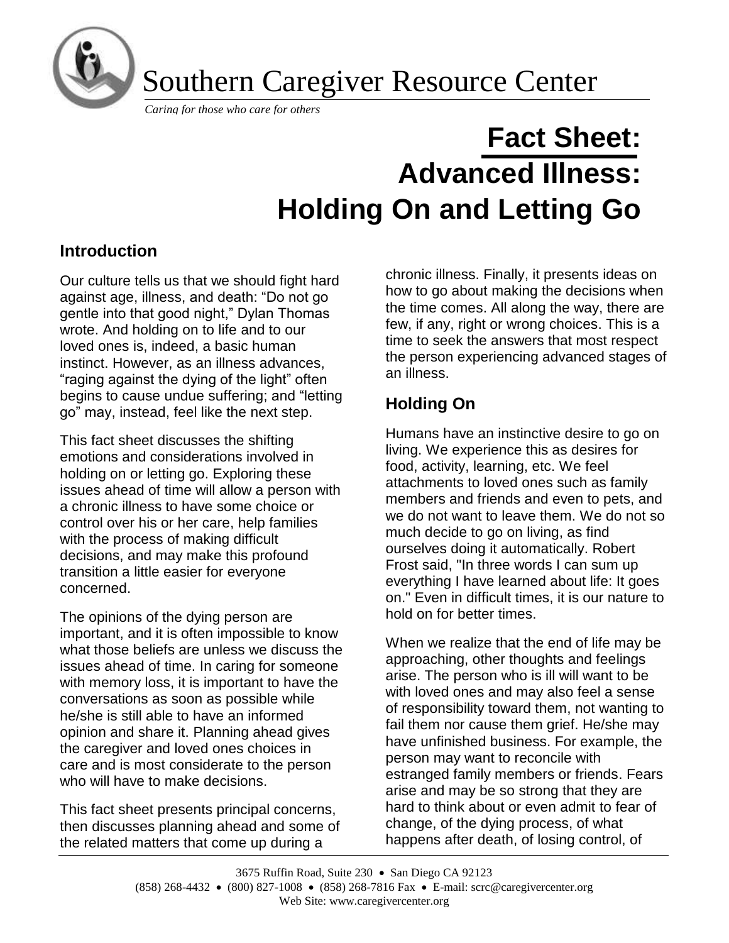

Southern Caregiver Resource Center

*Caring for those who care for others*

# **Fact Sheet: Advanced Illness: Holding On and Letting Go**

## **Introduction**

Our culture tells us that we should fight hard against age, illness, and death: "Do not go gentle into that good night," Dylan Thomas wrote. And holding on to life and to our loved ones is, indeed, a basic human instinct. However, as an illness advances, "raging against the dying of the light" often begins to cause undue suffering; and "letting go" may, instead, feel like the next step.

This fact sheet discusses the shifting emotions and considerations involved in holding on or letting go. Exploring these issues ahead of time will allow a person with a chronic illness to have some choice or control over his or her care, help families with the process of making difficult decisions, and may make this profound transition a little easier for everyone concerned.

The opinions of the dying person are important, and it is often impossible to know what those beliefs are unless we discuss the issues ahead of time. In caring for someone with memory loss, it is important to have the conversations as soon as possible while he/she is still able to have an informed opinion and share it. Planning ahead gives the caregiver and loved ones choices in care and is most considerate to the person who will have to make decisions.

This fact sheet presents principal concerns, then discusses planning ahead and some of the related matters that come up during a

chronic illness. Finally, it presents ideas on how to go about making the decisions when the time comes. All along the way, there are few, if any, right or wrong choices. This is a time to seek the answers that most respect the person experiencing advanced stages of an illness.

## **Holding On**

Humans have an instinctive desire to go on living. We experience this as desires for food, activity, learning, etc. We feel attachments to loved ones such as family members and friends and even to pets, and we do not want to leave them. We do not so much decide to go on living, as find ourselves doing it automatically. Robert Frost said, "In three words I can sum up everything I have learned about life: It goes on." Even in difficult times, it is our nature to hold on for better times.

When we realize that the end of life may be approaching, other thoughts and feelings arise. The person who is ill will want to be with loved ones and may also feel a sense of responsibility toward them, not wanting to fail them nor cause them grief. He/she may have unfinished business. For example, the person may want to reconcile with estranged family members or friends. Fears arise and may be so strong that they are hard to think about or even admit to fear of change, of the dying process, of what happens after death, of losing control, of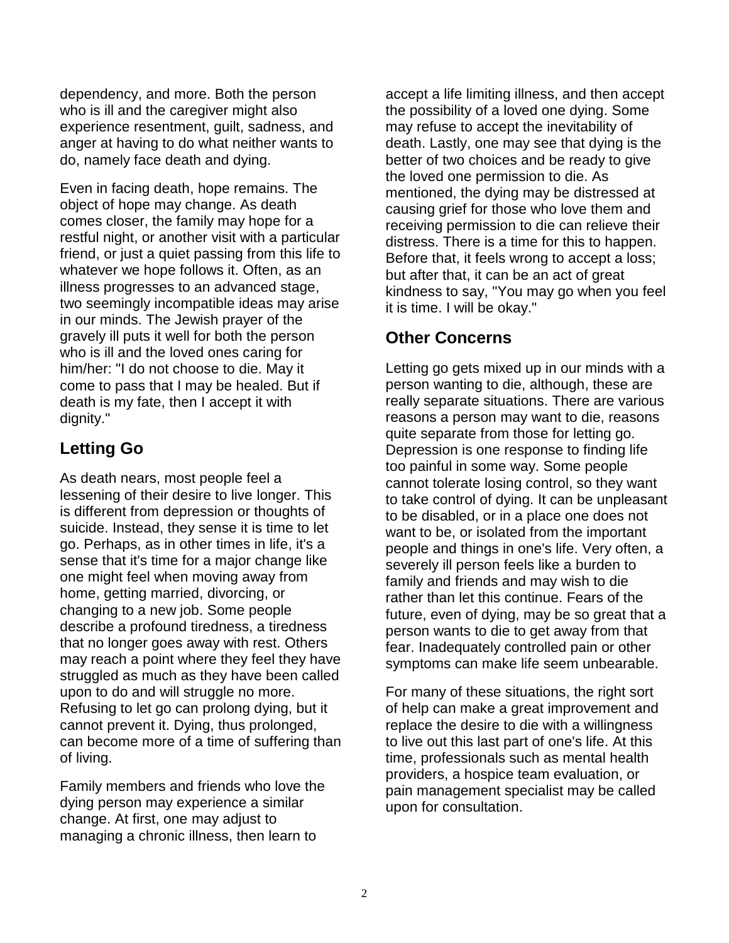dependency, and more. Both the person who is ill and the caregiver might also experience resentment, guilt, sadness, and anger at having to do what neither wants to do, namely face death and dying.

Even in facing death, hope remains. The object of hope may change. As death comes closer, the family may hope for a restful night, or another visit with a particular friend, or just a quiet passing from this life to whatever we hope follows it. Often, as an illness progresses to an advanced stage, two seemingly incompatible ideas may arise in our minds. The Jewish prayer of the gravely ill puts it well for both the person who is ill and the loved ones caring for him/her: "I do not choose to die. May it come to pass that I may be healed. But if death is my fate, then I accept it with dignity."

#### **Letting Go**

As death nears, most people feel a lessening of their desire to live longer. This is different from depression or thoughts of suicide. Instead, they sense it is time to let go. Perhaps, as in other times in life, it's a sense that it's time for a major change like one might feel when moving away from home, getting married, divorcing, or changing to a new job. Some people describe a profound tiredness, a tiredness that no longer goes away with rest. Others may reach a point where they feel they have struggled as much as they have been called upon to do and will struggle no more. Refusing to let go can prolong dying, but it cannot prevent it. Dying, thus prolonged, can become more of a time of suffering than of living.

Family members and friends who love the dying person may experience a similar change. At first, one may adjust to managing a chronic illness, then learn to

accept a life limiting illness, and then accept the possibility of a loved one dying. Some may refuse to accept the inevitability of death. Lastly, one may see that dying is the better of two choices and be ready to give the loved one permission to die. As mentioned, the dying may be distressed at causing grief for those who love them and receiving permission to die can relieve their distress. There is a time for this to happen. Before that, it feels wrong to accept a loss; but after that, it can be an act of great kindness to say, "You may go when you feel it is time. I will be okay."

## **Other Concerns**

Letting go gets mixed up in our minds with a person wanting to die, although, these are really separate situations. There are various reasons a person may want to die, reasons quite separate from those for letting go. Depression is one response to finding life too painful in some way. Some people cannot tolerate losing control, so they want to take control of dying. It can be unpleasant to be disabled, or in a place one does not want to be, or isolated from the important people and things in one's life. Very often, a severely ill person feels like a burden to family and friends and may wish to die rather than let this continue. Fears of the future, even of dying, may be so great that a person wants to die to get away from that fear. Inadequately controlled pain or other symptoms can make life seem unbearable.

For many of these situations, the right sort of help can make a great improvement and replace the desire to die with a willingness to live out this last part of one's life. At this time, professionals such as mental health providers, a hospice team evaluation, or pain management specialist may be called upon for consultation.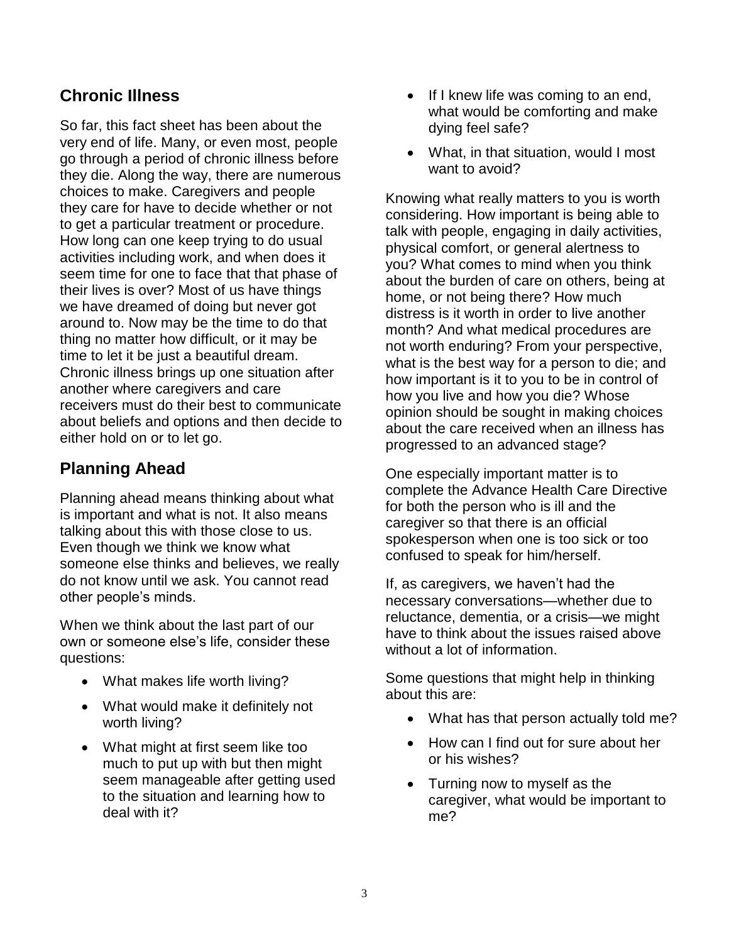## **Chronic Illness**

So far, this fact sheet has been about the very end of life. Many, or even most, people go through a period of chronic illness before they die. Along the way, there are numerous choices to make. Caregivers and people they care for have to decide whether or not to get a particular treatment or procedure. How long can one keep trying to do usual activities including work, and when does it seem time for one to face that that phase of their lives is over? Most of us have things we have dreamed of doing but never got around to. Now may be the time to do that thing no matter how difficult, or it may be time to let it be just a beautiful dream. Chronic illness brings up one situation after another where caregivers and care receivers must do their best to communicate about beliefs and options and then decide to either hold on or to let go.

## **Planning Ahead**

Planning ahead means thinking about what is important and what is not. It also means talking about this with those close to us. Even though we think we know what someone else thinks and believes, we really do not know until we ask. You cannot read other people's minds.

When we think about the last part of our own or someone else's life, consider these questions:

- What makes life worth living?
- What would make it definitely not worth living?
- What might at first seem like too much to put up with but then might seem manageable after getting used to the situation and learning how to deal with it?
- If I knew life was coming to an end, what would be comforting and make dying feel safe?
- What, in that situation, would I most want to avoid?

Knowing what really matters to you is worth considering. How important is being able to talk with people, engaging in daily activities, physical comfort, or general alertness to you? What comes to mind when you think about the burden of care on others, being at home, or not being there? How much distress is it worth in order to live another month? And what medical procedures are not worth enduring? From your perspective, what is the best way for a person to die; and how important is it to you to be in control of how you live and how you die? Whose opinion should be sought in making choices about the care received when an illness has progressed to an advanced stage?

One especially important matter is to complete the Advance Health Care Directive for both the person who is ill and the caregiver so that there is an official spokesperson when one is too sick or too confused to speak for him/herself.

If, as caregivers, we haven't had the necessary conversations—whether due to reluctance, dementia, or a crisis—we might have to think about the issues raised above without a lot of information.

Some questions that might help in thinking about this are:

- What has that person actually told me?
- How can I find out for sure about her or his wishes?
- Turning now to myself as the caregiver, what would be important to me?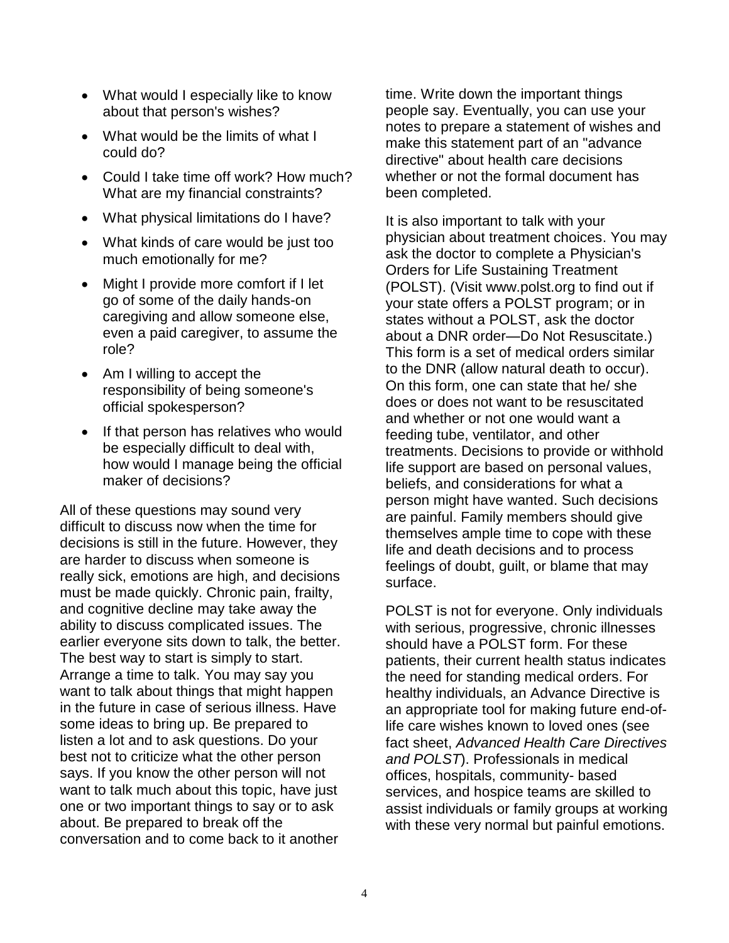- What would I especially like to know about that person's wishes?
- What would be the limits of what I could do?
- Could I take time off work? How much? What are my financial constraints?
- What physical limitations do I have?
- What kinds of care would be just too much emotionally for me?
- Might I provide more comfort if I let go of some of the daily hands-on caregiving and allow someone else, even a paid caregiver, to assume the role?
- Am I willing to accept the responsibility of being someone's official spokesperson?
- If that person has relatives who would be especially difficult to deal with, how would I manage being the official maker of decisions?

All of these questions may sound very difficult to discuss now when the time for decisions is still in the future. However, they are harder to discuss when someone is really sick, emotions are high, and decisions must be made quickly. Chronic pain, frailty, and cognitive decline may take away the ability to discuss complicated issues. The earlier everyone sits down to talk, the better. The best way to start is simply to start. Arrange a time to talk. You may say you want to talk about things that might happen in the future in case of serious illness. Have some ideas to bring up. Be prepared to listen a lot and to ask questions. Do your best not to criticize what the other person says. If you know the other person will not want to talk much about this topic, have just one or two important things to say or to ask about. Be prepared to break off the conversation and to come back to it another

time. Write down the important things people say. Eventually, you can use your notes to prepare a statement of wishes and make this statement part of an "advance directive" about health care decisions whether or not the formal document has been completed.

It is also important to talk with your physician about treatment choices. You may ask the doctor to complete a Physician's Orders for Life Sustaining Treatment (POLST). (Visit www.polst.org to find out if your state offers a POLST program; or in states without a POLST, ask the doctor about a DNR order—Do Not Resuscitate.) This form is a set of medical orders similar to the DNR (allow natural death to occur). On this form, one can state that he/ she does or does not want to be resuscitated and whether or not one would want a feeding tube, ventilator, and other treatments. Decisions to provide or withhold life support are based on personal values, beliefs, and considerations for what a person might have wanted. Such decisions are painful. Family members should give themselves ample time to cope with these life and death decisions and to process feelings of doubt, guilt, or blame that may surface.

POLST is not for everyone. Only individuals with serious, progressive, chronic illnesses should have a POLST form. For these patients, their current health status indicates the need for standing medical orders. For healthy individuals, an Advance Directive is an appropriate tool for making future end-oflife care wishes known to loved ones (see fact sheet, *Advanced Health Care Directives and POLST*). Professionals in medical offices, hospitals, community- based services, and hospice teams are skilled to assist individuals or family groups at working with these very normal but painful emotions.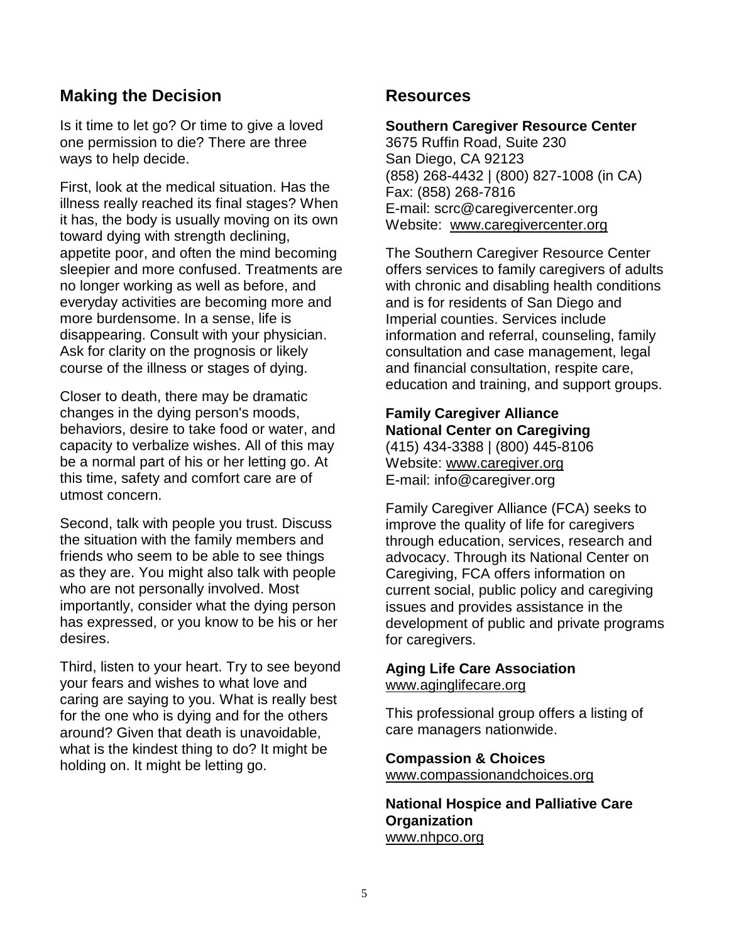## **Making the Decision**

Is it time to let go? Or time to give a loved one permission to die? There are three ways to help decide.

First, look at the medical situation. Has the illness really reached its final stages? When it has, the body is usually moving on its own toward dying with strength declining, appetite poor, and often the mind becoming sleepier and more confused. Treatments are no longer working as well as before, and everyday activities are becoming more and more burdensome. In a sense, life is disappearing. Consult with your physician. Ask for clarity on the prognosis or likely course of the illness or stages of dying.

Closer to death, there may be dramatic changes in the dying person's moods, behaviors, desire to take food or water, and capacity to verbalize wishes. All of this may be a normal part of his or her letting go. At this time, safety and comfort care are of utmost concern.

Second, talk with people you trust. Discuss the situation with the family members and friends who seem to be able to see things as they are. You might also talk with people who are not personally involved. Most importantly, consider what the dying person has expressed, or you know to be his or her desires.

Third, listen to your heart. Try to see beyond your fears and wishes to what love and caring are saying to you. What is really best for the one who is dying and for the others around? Given that death is unavoidable, what is the kindest thing to do? It might be holding on. It might be letting go.

#### **Resources**

#### **Southern Caregiver Resource Center**

3675 Ruffin Road, Suite 230 San Diego, CA 92123 (858) 268-4432 | (800) 827-1008 (in CA) Fax: (858) 268-7816 E-mail: [scrc@caregivercenter.org](mailto:scrc@caregivercenter.org) Website: [www.caregivercenter.org](http://www.caregivercenter.org/)

The Southern Caregiver Resource Center offers services to family caregivers of adults with chronic and disabling health conditions and is for residents of San Diego and Imperial counties. Services include information and referral, counseling, family consultation and case management, legal and financial consultation, respite care, education and training, and support groups.

**Family Caregiver Alliance National Center on Caregiving** (415) 434-3388 | (800) 445-8106 Website: [www.caregiver.org](http://www.caregiver.org/) E-mail: [info@caregiver.org](mailto:info@caregiver.org)

Family Caregiver Alliance (FCA) seeks to improve the quality of life for caregivers through education, services, research and advocacy. Through its National Center on Caregiving, FCA offers information on current social, public policy and caregiving issues and provides assistance in the development of public and private programs for caregivers.

# **Aging Life Care Association**

[www.aginglifecare.org](http://www.aginglifecare.org/)

This professional group offers a listing of care managers nationwide.

**Compassion & Choices** [www.compassionandchoices.org](http://www.compassionandchoices.org/)

**National Hospice and Palliative Care Organization** [www.nhpco.org](http://www.nhpco.org/)